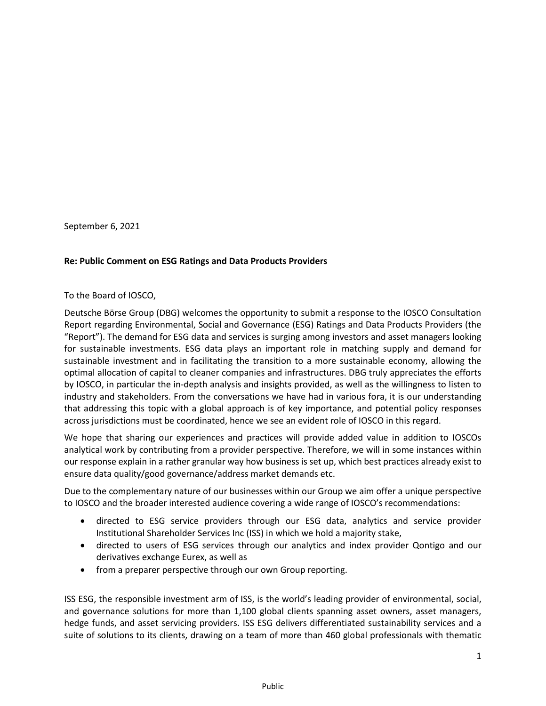September 6, 2021

#### **Re: Public Comment on ESG Ratings and Data Products Providers**

#### To the Board of IOSCO,

Deutsche Börse Group (DBG) welcomes the opportunity to submit a response to the IOSCO Consultation Report regarding Environmental, Social and Governance (ESG) Ratings and Data Products Providers (the "Report"). The demand for ESG data and services is surging among investors and asset managers looking for sustainable investments. ESG data plays an important role in matching supply and demand for sustainable investment and in facilitating the transition to a more sustainable economy, allowing the optimal allocation of capital to cleaner companies and infrastructures. DBG truly appreciates the efforts by IOSCO, in particular the in-depth analysis and insights provided, as well as the willingness to listen to industry and stakeholders. From the conversations we have had in various fora, it is our understanding that addressing this topic with a global approach is of key importance, and potential policy responses across jurisdictions must be coordinated, hence we see an evident role of IOSCO in this regard.

We hope that sharing our experiences and practices will provide added value in addition to IOSCOs analytical work by contributing from a provider perspective. Therefore, we will in some instances within our response explain in a rather granular way how business is set up, which best practices already exist to ensure data quality/good governance/address market demands etc.

Due to the complementary nature of our businesses within our Group we aim offer a unique perspective to IOSCO and the broader interested audience covering a wide range of IOSCO's recommendations:

- directed to ESG service providers through our ESG data, analytics and service provider Institutional Shareholder Services Inc (ISS) in which we hold a majority stake,
- directed to users of ESG services through our analytics and index provider Qontigo and our derivatives exchange Eurex, as well as
- from a preparer perspective through our own Group reporting.

ISS ESG, the responsible investment arm of ISS, is the world's leading provider of environmental, social, and governance solutions for more than 1,100 global clients spanning asset owners, asset managers, hedge funds, and asset servicing providers. ISS ESG delivers differentiated sustainability services and a suite of solutions to its clients, drawing on a team of more than 460 global professionals with thematic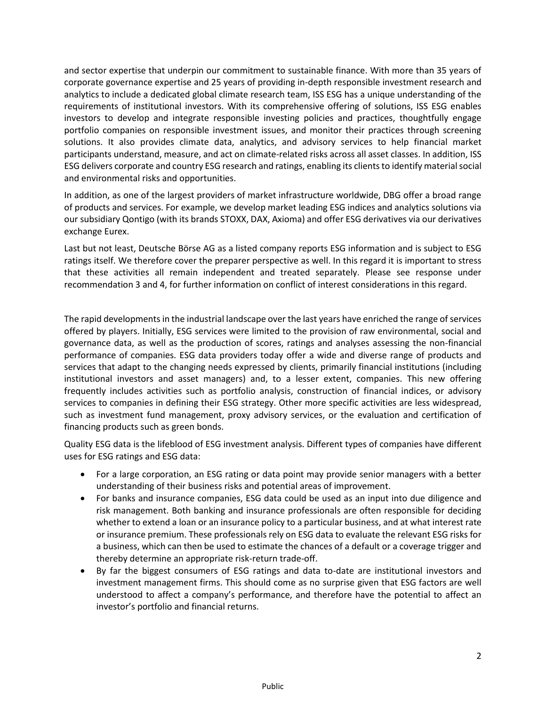and sector expertise that underpin our commitment to sustainable finance. With more than 35 years of corporate governance expertise and 25 years of providing in-depth responsible investment research and analytics to include a dedicated global climate research team, ISS ESG has a unique understanding of the requirements of institutional investors. With its comprehensive offering of solutions, ISS ESG enables investors to develop and integrate responsible investing policies and practices, thoughtfully engage portfolio companies on responsible investment issues, and monitor their practices through screening solutions. It also provides climate data, analytics, and advisory services to help financial market participants understand, measure, and act on climate-related risks across all asset classes. In addition, ISS ESG delivers corporate and country ESG research and ratings, enabling its clients to identify material social and environmental risks and opportunities.

In addition, as one of the largest providers of market infrastructure worldwide, DBG offer a broad range of products and services. For example, we develop market leading ESG indices and analytics solutions via our subsidiary Qontigo (with its brands STOXX, DAX, Axioma) and offer ESG derivatives via our derivatives exchange Eurex.

Last but not least, Deutsche Börse AG as a listed company reports ESG information and is subject to ESG ratings itself. We therefore cover the preparer perspective as well. In this regard it is important to stress that these activities all remain independent and treated separately. Please see response under recommendation 3 and 4, for further information on conflict of interest considerations in this regard.

The rapid developments in the industrial landscape over the last years have enriched the range of services offered by players. Initially, ESG services were limited to the provision of raw environmental, social and governance data, as well as the production of scores, ratings and analyses assessing the non-financial performance of companies. ESG data providers today offer a wide and diverse range of products and services that adapt to the changing needs expressed by clients, primarily financial institutions (including institutional investors and asset managers) and, to a lesser extent, companies. This new offering frequently includes activities such as portfolio analysis, construction of financial indices, or advisory services to companies in defining their ESG strategy. Other more specific activities are less widespread, such as investment fund management, proxy advisory services, or the evaluation and certification of financing products such as green bonds.

Quality ESG data is the lifeblood of ESG investment analysis. Different types of companies have different uses for ESG ratings and ESG data:

- For a large corporation, an ESG rating or data point may provide senior managers with a better understanding of their business risks and potential areas of improvement.
- For banks and insurance companies, ESG data could be used as an input into due diligence and risk management. Both banking and insurance professionals are often responsible for deciding whether to extend a loan or an insurance policy to a particular business, and at what interest rate or insurance premium. These professionals rely on ESG data to evaluate the relevant ESG risks for a business, which can then be used to estimate the chances of a default or a coverage trigger and thereby determine an appropriate risk-return trade-off.
- By far the biggest consumers of ESG ratings and data to-date are institutional investors and investment management firms. This should come as no surprise given that ESG factors are well understood to affect a company's performance, and therefore have the potential to affect an investor's portfolio and financial returns.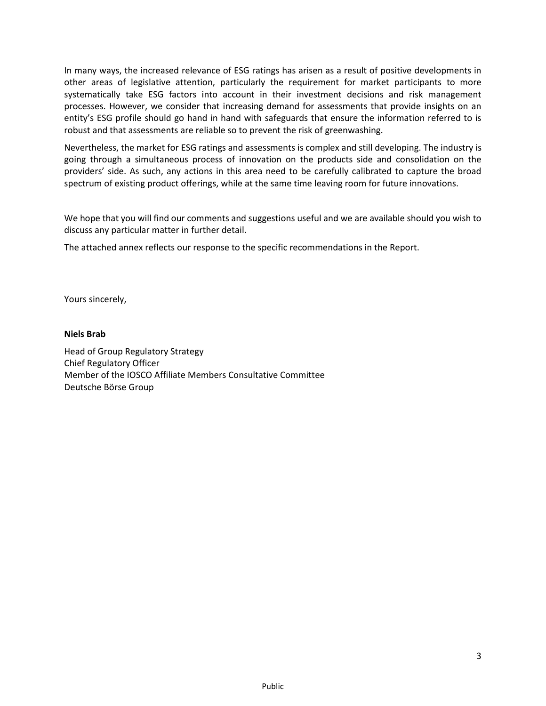In many ways, the increased relevance of ESG ratings has arisen as a result of positive developments in other areas of legislative attention, particularly the requirement for market participants to more systematically take ESG factors into account in their investment decisions and risk management processes. However, we consider that increasing demand for assessments that provide insights on an entity's ESG profile should go hand in hand with safeguards that ensure the information referred to is robust and that assessments are reliable so to prevent the risk of greenwashing.

Nevertheless, the market for ESG ratings and assessments is complex and still developing. The industry is going through a simultaneous process of innovation on the products side and consolidation on the providers' side. As such, any actions in this area need to be carefully calibrated to capture the broad spectrum of existing product offerings, while at the same time leaving room for future innovations.

We hope that you will find our comments and suggestions useful and we are available should you wish to discuss any particular matter in further detail.

The attached annex reflects our response to the specific recommendations in the Report.

Yours sincerely,

#### **Niels Brab**

Head of Group Regulatory Strategy Chief Regulatory Officer Member of the IOSCO Affiliate Members Consultative Committee Deutsche Börse Group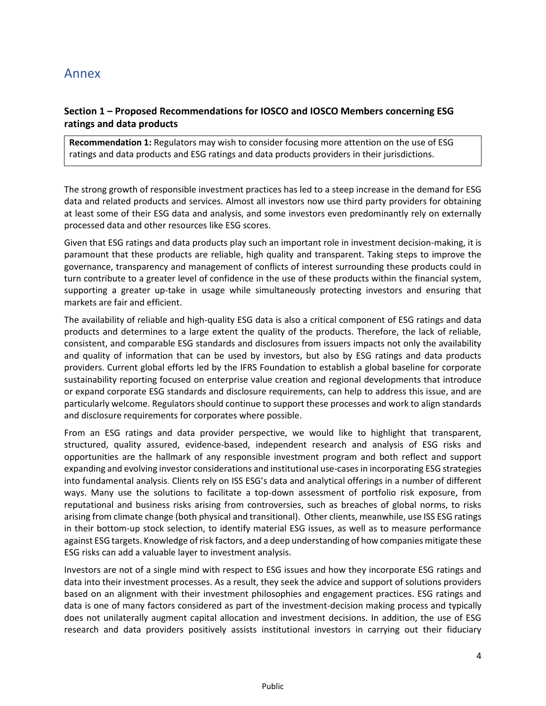# Annex

## **Section 1 – Proposed Recommendations for IOSCO and IOSCO Members concerning ESG ratings and data products**

**Recommendation 1:** Regulators may wish to consider focusing more attention on the use of ESG ratings and data products and ESG ratings and data products providers in their jurisdictions.

The strong growth of responsible investment practices has led to a steep increase in the demand for ESG data and related products and services. Almost all investors now use third party providers for obtaining at least some of their ESG data and analysis, and some investors even predominantly rely on externally processed data and other resources like ESG scores.

Given that ESG ratings and data products play such an important role in investment decision-making, it is paramount that these products are reliable, high quality and transparent. Taking steps to improve the governance, transparency and management of conflicts of interest surrounding these products could in turn contribute to a greater level of confidence in the use of these products within the financial system, supporting a greater up-take in usage while simultaneously protecting investors and ensuring that markets are fair and efficient.

The availability of reliable and high-quality ESG data is also a critical component of ESG ratings and data products and determines to a large extent the quality of the products. Therefore, the lack of reliable, consistent, and comparable ESG standards and disclosures from issuers impacts not only the availability and quality of information that can be used by investors, but also by ESG ratings and data products providers. Current global efforts led by the IFRS Foundation to establish a global baseline for corporate sustainability reporting focused on enterprise value creation and regional developments that introduce or expand corporate ESG standards and disclosure requirements, can help to address this issue, and are particularly welcome. Regulators should continue to support these processes and work to align standards and disclosure requirements for corporates where possible.

From an ESG ratings and data provider perspective, we would like to highlight that transparent, structured, quality assured, evidence-based, independent research and analysis of ESG risks and opportunities are the hallmark of any responsible investment program and both reflect and support expanding and evolving investor considerations and institutional use-cases in incorporating ESG strategies into fundamental analysis. Clients rely on ISS ESG's data and analytical offerings in a number of different ways. Many use the solutions to facilitate a top-down assessment of portfolio risk exposure, from reputational and business risks arising from controversies, such as breaches of global norms, to risks arising from climate change (both physical and transitional). Other clients, meanwhile, use ISS ESG ratings in their bottom-up stock selection, to identify material ESG issues, as well as to measure performance against ESG targets. Knowledge of risk factors, and a deep understanding of how companies mitigate these ESG risks can add a valuable layer to investment analysis.

Investors are not of a single mind with respect to ESG issues and how they incorporate ESG ratings and data into their investment processes. As a result, they seek the advice and support of solutions providers based on an alignment with their investment philosophies and engagement practices. ESG ratings and data is one of many factors considered as part of the investment-decision making process and typically does not unilaterally augment capital allocation and investment decisions. In addition, the use of ESG research and data providers positively assists institutional investors in carrying out their fiduciary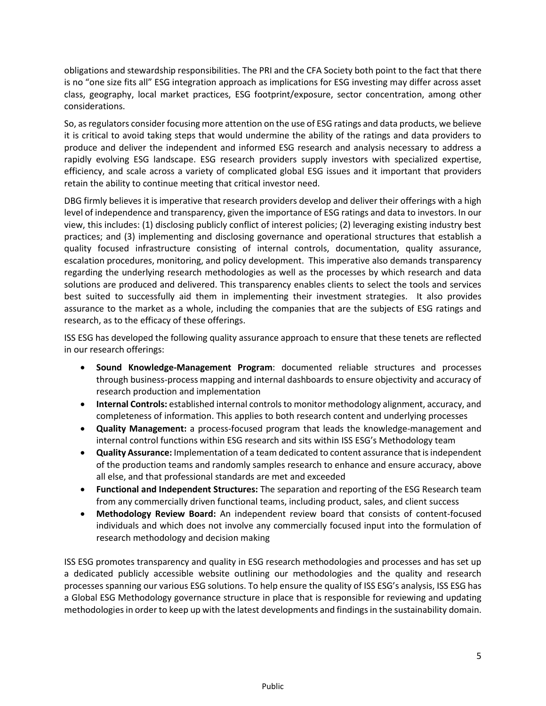obligations and stewardship responsibilities. The PRI and the CFA Society both point to the fact that there is no "one size fits all" ESG integration approach as implications for ESG investing may differ across asset class, geography, local market practices, ESG footprint/exposure, sector concentration, among other considerations.

So, as regulators consider focusing more attention on the use of ESG ratings and data products, we believe it is critical to avoid taking steps that would undermine the ability of the ratings and data providers to produce and deliver the independent and informed ESG research and analysis necessary to address a rapidly evolving ESG landscape. ESG research providers supply investors with specialized expertise, efficiency, and scale across a variety of complicated global ESG issues and it important that providers retain the ability to continue meeting that critical investor need.

DBG firmly believes it is imperative that research providers develop and deliver their offerings with a high level of independence and transparency, given the importance of ESG ratings and data to investors. In our view, this includes: (1) disclosing publicly conflict of interest policies; (2) leveraging existing industry best practices; and (3) implementing and disclosing governance and operational structures that establish a quality focused infrastructure consisting of internal controls, documentation, quality assurance, escalation procedures, monitoring, and policy development. This imperative also demands transparency regarding the underlying research methodologies as well as the processes by which research and data solutions are produced and delivered. This transparency enables clients to select the tools and services best suited to successfully aid them in implementing their investment strategies. It also provides assurance to the market as a whole, including the companies that are the subjects of ESG ratings and research, as to the efficacy of these offerings.

ISS ESG has developed the following quality assurance approach to ensure that these tenets are reflected in our research offerings:

- **Sound Knowledge-Management Program**: documented reliable structures and processes through business-process mapping and internal dashboards to ensure objectivity and accuracy of research production and implementation
- **Internal Controls:** established internal controls to monitor methodology alignment, accuracy, and completeness of information. This applies to both research content and underlying processes
- **Quality Management:** a process-focused program that leads the knowledge-management and internal control functions within ESG research and sits within ISS ESG's Methodology team
- **Quality Assurance:** Implementation of a team dedicated to content assurance that is independent of the production teams and randomly samples research to enhance and ensure accuracy, above all else, and that professional standards are met and exceeded
- **Functional and Independent Structures:** The separation and reporting of the ESG Research team from any commercially driven functional teams, including product, sales, and client success
- **Methodology Review Board:** An independent review board that consists of content-focused individuals and which does not involve any commercially focused input into the formulation of research methodology and decision making

ISS ESG promotes transparency and quality in ESG research methodologies and processes and has set up a dedicated publicly accessible website outlining our methodologies and the quality and research processes spanning our various ESG solutions. To help ensure the quality of ISS ESG's analysis, ISS ESG has a Global ESG Methodology governance structure in place that is responsible for reviewing and updating methodologies in order to keep up with the latest developments and findings in the sustainability domain.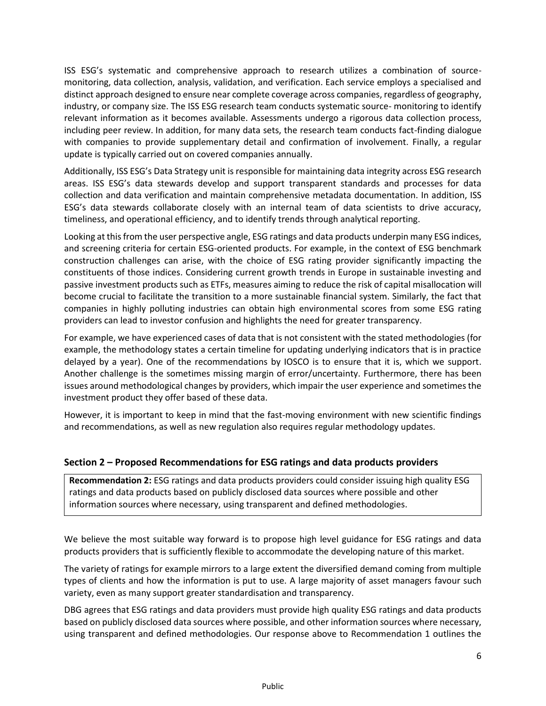ISS ESG's systematic and comprehensive approach to research utilizes a combination of sourcemonitoring, data collection, analysis, validation, and verification. Each service employs a specialised and distinct approach designed to ensure near complete coverage across companies, regardless of geography, industry, or company size. The ISS ESG research team conducts systematic source- monitoring to identify relevant information as it becomes available. Assessments undergo a rigorous data collection process, including peer review. In addition, for many data sets, the research team conducts fact-finding dialogue with companies to provide supplementary detail and confirmation of involvement. Finally, a regular update is typically carried out on covered companies annually.

Additionally, ISS ESG's Data Strategy unit is responsible for maintaining data integrity across ESG research areas. ISS ESG's data stewards develop and support transparent standards and processes for data collection and data verification and maintain comprehensive metadata documentation. In addition, ISS ESG's data stewards collaborate closely with an internal team of data scientists to drive accuracy, timeliness, and operational efficiency, and to identify trends through analytical reporting.

Looking at this from the user perspective angle, ESG ratings and data products underpin many ESG indices, and screening criteria for certain ESG-oriented products. For example, in the context of ESG benchmark construction challenges can arise, with the choice of ESG rating provider significantly impacting the constituents of those indices. Considering current growth trends in Europe in sustainable investing and passive investment products such as ETFs, measures aiming to reduce the risk of capital misallocation will become crucial to facilitate the transition to a more sustainable financial system. Similarly, the fact that companies in highly polluting industries can obtain high environmental scores from some ESG rating providers can lead to investor confusion and highlights the need for greater transparency.

For example, we have experienced cases of data that is not consistent with the stated methodologies (for example, the methodology states a certain timeline for updating underlying indicators that is in practice delayed by a year). One of the recommendations by IOSCO is to ensure that it is, which we support. Another challenge is the sometimes missing margin of error/uncertainty. Furthermore, there has been issues around methodological changes by providers, which impair the user experience and sometimes the investment product they offer based of these data.

However, it is important to keep in mind that the fast-moving environment with new scientific findings and recommendations, as well as new regulation also requires regular methodology updates.

#### **Section 2 – Proposed Recommendations for ESG ratings and data products providers**

**Recommendation 2:** ESG ratings and data products providers could consider issuing high quality ESG ratings and data products based on publicly disclosed data sources where possible and other information sources where necessary, using transparent and defined methodologies.

We believe the most suitable way forward is to propose high level guidance for ESG ratings and data products providers that is sufficiently flexible to accommodate the developing nature of this market.

The variety of ratings for example mirrors to a large extent the diversified demand coming from multiple types of clients and how the information is put to use. A large majority of asset managers favour such variety, even as many support greater standardisation and transparency.

DBG agrees that ESG ratings and data providers must provide high quality ESG ratings and data products based on publicly disclosed data sources where possible, and other information sources where necessary, using transparent and defined methodologies. Our response above to Recommendation 1 outlines the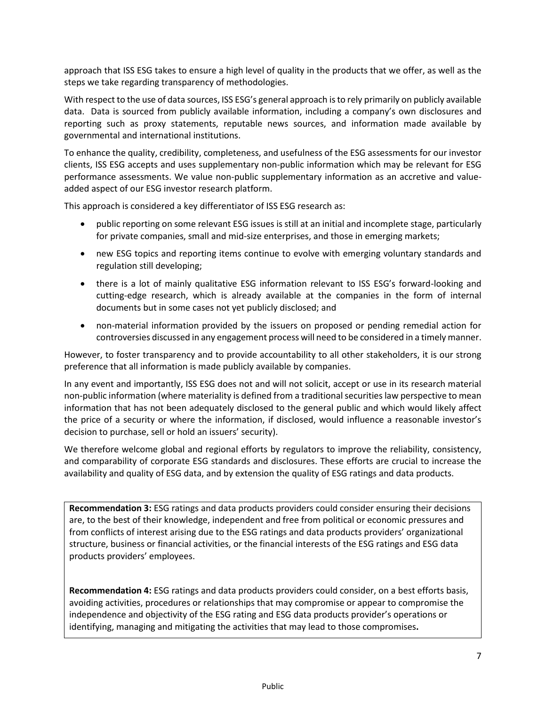approach that ISS ESG takes to ensure a high level of quality in the products that we offer, as well as the steps we take regarding transparency of methodologies.

With respect to the use of data sources, ISS ESG's general approach is to rely primarily on publicly available data. Data is sourced from publicly available information, including a company's own disclosures and reporting such as proxy statements, reputable news sources, and information made available by governmental and international institutions.

To enhance the quality, credibility, completeness, and usefulness of the ESG assessments for our investor clients, ISS ESG accepts and uses supplementary non-public information which may be relevant for ESG performance assessments. We value non-public supplementary information as an accretive and valueadded aspect of our ESG investor research platform.

This approach is considered a key differentiator of ISS ESG research as:

- public reporting on some relevant ESG issues is still at an initial and incomplete stage, particularly for private companies, small and mid-size enterprises, and those in emerging markets;
- new ESG topics and reporting items continue to evolve with emerging voluntary standards and regulation still developing;
- there is a lot of mainly qualitative ESG information relevant to ISS ESG's forward-looking and cutting-edge research, which is already available at the companies in the form of internal documents but in some cases not yet publicly disclosed; and
- non-material information provided by the issuers on proposed or pending remedial action for controversies discussed in any engagement process will need to be considered in a timely manner.

However, to foster transparency and to provide accountability to all other stakeholders, it is our strong preference that all information is made publicly available by companies.

In any event and importantly, ISS ESG does not and will not solicit, accept or use in its research material non-public information (where materiality is defined from a traditional securities law perspective to mean information that has not been adequately disclosed to the general public and which would likely affect the price of a security or where the information, if disclosed, would influence a reasonable investor's decision to purchase, sell or hold an issuers' security).

We therefore welcome global and regional efforts by regulators to improve the reliability, consistency, and comparability of corporate ESG standards and disclosures. These efforts are crucial to increase the availability and quality of ESG data, and by extension the quality of ESG ratings and data products.

**Recommendation 3:** ESG ratings and data products providers could consider ensuring their decisions are, to the best of their knowledge, independent and free from political or economic pressures and from conflicts of interest arising due to the ESG ratings and data products providers' organizational structure, business or financial activities, or the financial interests of the ESG ratings and ESG data products providers' employees.

**Recommendation 4:** ESG ratings and data products providers could consider, on a best efforts basis, avoiding activities, procedures or relationships that may compromise or appear to compromise the independence and objectivity of the ESG rating and ESG data products provider's operations or identifying, managing and mitigating the activities that may lead to those compromises**.**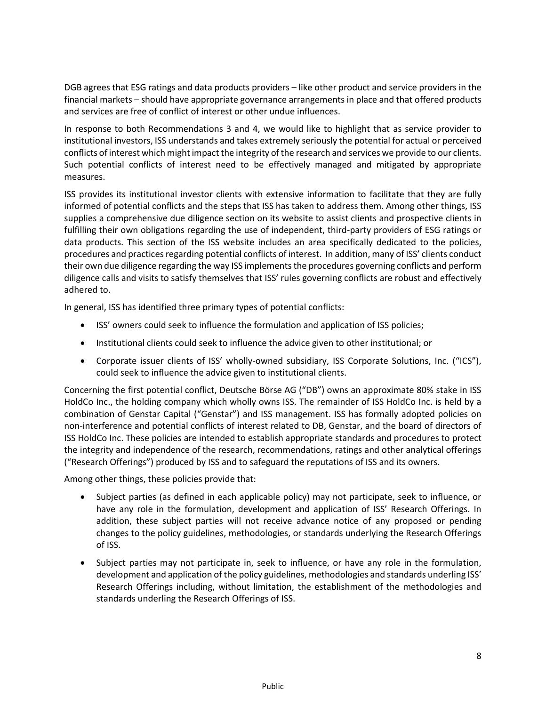DGB agrees that ESG ratings and data products providers – like other product and service providers in the financial markets – should have appropriate governance arrangements in place and that offered products and services are free of conflict of interest or other undue influences.

In response to both Recommendations 3 and 4, we would like to highlight that as service provider to institutional investors, ISS understands and takes extremely seriously the potential for actual or perceived conflicts of interest which might impact the integrity of the research and services we provide to our clients. Such potential conflicts of interest need to be effectively managed and mitigated by appropriate measures.

ISS provides its institutional investor clients with extensive information to facilitate that they are fully informed of potential conflicts and the steps that ISS has taken to address them. Among other things, ISS supplies a comprehensive due diligence section on its website to assist clients and prospective clients in fulfilling their own obligations regarding the use of independent, third-party providers of ESG ratings or data products. This section of the ISS website includes an area specifically dedicated to the policies, procedures and practices regarding potential conflicts of interest. In addition, many of ISS' clients conduct their own due diligence regarding the way ISS implements the procedures governing conflicts and perform diligence calls and visits to satisfy themselves that ISS' rules governing conflicts are robust and effectively adhered to.

In general, ISS has identified three primary types of potential conflicts:

- ISS' owners could seek to influence the formulation and application of ISS policies;
- Institutional clients could seek to influence the advice given to other institutional; or
- Corporate issuer clients of ISS' wholly-owned subsidiary, ISS Corporate Solutions, Inc. ("ICS"), could seek to influence the advice given to institutional clients.

Concerning the first potential conflict, Deutsche Börse AG ("DB") owns an approximate 80% stake in ISS HoldCo Inc., the holding company which wholly owns ISS. The remainder of ISS HoldCo Inc. is held by a combination of Genstar Capital ("Genstar") and ISS management. ISS has formally adopted policies on non-interference and potential conflicts of interest related to DB, Genstar, and the board of directors of ISS HoldCo Inc. These policies are intended to establish appropriate standards and procedures to protect the integrity and independence of the research, recommendations, ratings and other analytical offerings ("Research Offerings") produced by ISS and to safeguard the reputations of ISS and its owners.

Among other things, these policies provide that:

- Subject parties (as defined in each applicable policy) may not participate, seek to influence, or have any role in the formulation, development and application of ISS' Research Offerings. In addition, these subject parties will not receive advance notice of any proposed or pending changes to the policy guidelines, methodologies, or standards underlying the Research Offerings of ISS.
- Subject parties may not participate in, seek to influence, or have any role in the formulation, development and application of the policy guidelines, methodologies and standards underling ISS' Research Offerings including, without limitation, the establishment of the methodologies and standards underling the Research Offerings of ISS.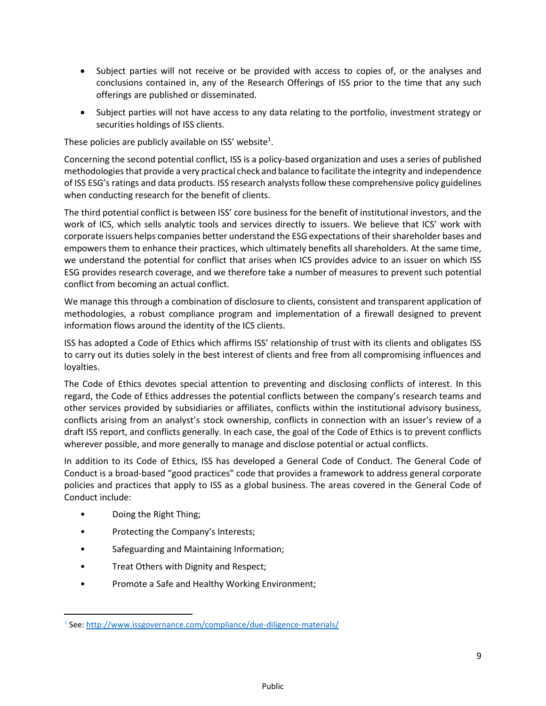- Subject parties will not receive or be provided with access to copies of, or the analyses and conclusions contained in, any of the Research Offerings of ISS prior to the time that any such offerings are published or disseminated.
- Subject parties will not have access to any data relating to the portfolio, investment strategy or securities holdings of ISS clients.

These policies are publicly available on ISS' website<sup>1</sup>.

Concerning the second potential conflict, ISS is a policy-based organization and uses a series of published methodologies that provide a very practical check and balance to facilitate the integrity and independence of ISS ESG's ratings and data products. ISS research analysts follow these comprehensive policy guidelines when conducting research for the benefit of clients.

The third potential conflict is between ISS' core business for the benefit of institutional investors, and the work of ICS, which sells analytic tools and services directly to issuers. We believe that ICS' work with corporate issuers helps companies better understand the ESG expectations of their shareholder bases and empowers them to enhance their practices, which ultimately benefits all shareholders. At the same time, we understand the potential for conflict that arises when ICS provides advice to an issuer on which ISS ESG provides research coverage, and we therefore take a number of measures to prevent such potential conflict from becoming an actual conflict.

We manage this through a combination of disclosure to clients, consistent and transparent application of methodologies, a robust compliance program and implementation of a firewall designed to prevent information flows around the identity of the ICS clients.

ISS has adopted a Code of Ethics which affirms ISS' relationship of trust with its clients and obligates ISS to carry out its duties solely in the best interest of clients and free from all compromising influences and loyalties.

The Code of Ethics devotes special attention to preventing and disclosing conflicts of interest. In this regard, the Code of Ethics addresses the potential conflicts between the company's research teams and other services provided by subsidiaries or affiliates, conflicts within the institutional advisory business, conflicts arising from an analyst's stock ownership, conflicts in connection with an issuer's review of a draft ISS report, and conflicts generally. In each case, the goal of the Code of Ethics is to prevent conflicts wherever possible, and more generally to manage and disclose potential or actual conflicts.

In addition to its Code of Ethics, ISS has developed a General Code of Conduct. The General Code of Conduct is a broad-based "good practices" code that provides a framework to address general corporate policies and practices that apply to ISS as a global business. The areas covered in the General Code of Conduct include:

- Doing the Right Thing;
- Protecting the Company's Interests;
- Safeguarding and Maintaining Information;
- Treat Others with Dignity and Respect;
- Promote a Safe and Healthy Working Environment;

<sup>&</sup>lt;sup>1</sup> See:<http://www.issgovernance.com/compliance/due-diligence-materials/>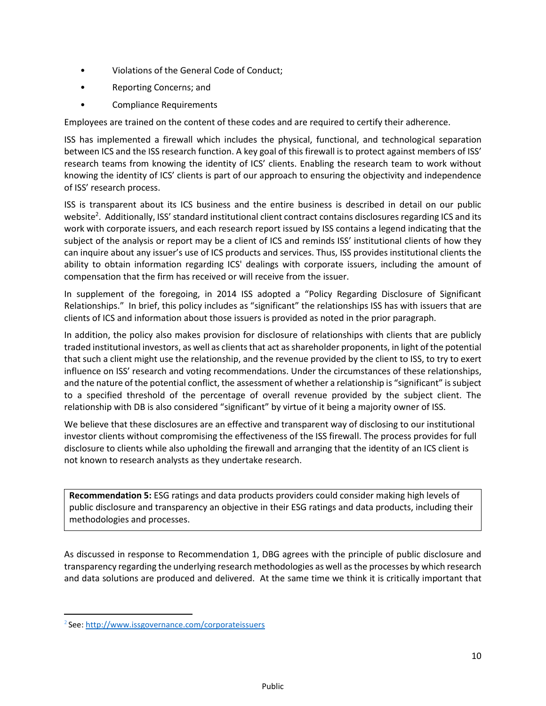- Violations of the General Code of Conduct;
- Reporting Concerns; and
- Compliance Requirements

Employees are trained on the content of these codes and are required to certify their adherence.

ISS has implemented a firewall which includes the physical, functional, and technological separation between ICS and the ISS research function. A key goal of this firewall is to protect against members of ISS' research teams from knowing the identity of ICS' clients. Enabling the research team to work without knowing the identity of ICS' clients is part of our approach to ensuring the objectivity and independence of ISS' research process.

ISS is transparent about its ICS business and the entire business is described in detail on our public website<sup>2</sup>. Additionally, ISS' standard institutional client contract contains disclosures regarding ICS and its work with corporate issuers, and each research report issued by ISS contains a legend indicating that the subject of the analysis or report may be a client of ICS and reminds ISS' institutional clients of how they can inquire about any issuer's use of ICS products and services. Thus, ISS provides institutional clients the ability to obtain information regarding ICS' dealings with corporate issuers, including the amount of compensation that the firm has received or will receive from the issuer.

In supplement of the foregoing, in 2014 ISS adopted a "Policy Regarding Disclosure of Significant Relationships." In brief, this policy includes as "significant" the relationships ISS has with issuers that are clients of ICS and information about those issuers is provided as noted in the prior paragraph.

In addition, the policy also makes provision for disclosure of relationships with clients that are publicly traded institutional investors, as well as clients that act as shareholder proponents, in light of the potential that such a client might use the relationship, and the revenue provided by the client to ISS, to try to exert influence on ISS' research and voting recommendations. Under the circumstances of these relationships, and the nature of the potential conflict, the assessment of whether a relationship is "significant" is subject to a specified threshold of the percentage of overall revenue provided by the subject client. The relationship with DB is also considered "significant" by virtue of it being a majority owner of ISS.

We believe that these disclosures are an effective and transparent way of disclosing to our institutional investor clients without compromising the effectiveness of the ISS firewall. The process provides for full disclosure to clients while also upholding the firewall and arranging that the identity of an ICS client is not known to research analysts as they undertake research.

**Recommendation 5:** ESG ratings and data products providers could consider making high levels of public disclosure and transparency an objective in their ESG ratings and data products, including their methodologies and processes.

As discussed in response to Recommendation 1, DBG agrees with the principle of public disclosure and transparency regarding the underlying research methodologies as well as the processes by which research and data solutions are produced and delivered. At the same time we think it is critically important that

<sup>&</sup>lt;sup>2</sup> See:<http://www.issgovernance.com/corporateissuers>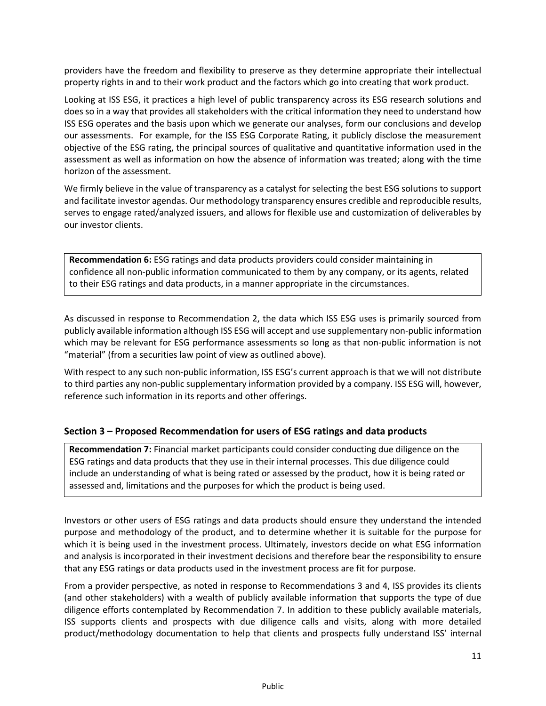providers have the freedom and flexibility to preserve as they determine appropriate their intellectual property rights in and to their work product and the factors which go into creating that work product.

Looking at ISS ESG, it practices a high level of public transparency across its ESG research solutions and does so in a way that provides all stakeholders with the critical information they need to understand how ISS ESG operates and the basis upon which we generate our analyses, form our conclusions and develop our assessments. For example, for the ISS ESG Corporate Rating, it publicly disclose the measurement objective of the ESG rating, the principal sources of qualitative and quantitative information used in the assessment as well as information on how the absence of information was treated; along with the time horizon of the assessment.

We firmly believe in the value of transparency as a catalyst for selecting the best ESG solutions to support and facilitate investor agendas. Our methodology transparency ensures credible and reproducible results, serves to engage rated/analyzed issuers, and allows for flexible use and customization of deliverables by our investor clients.

**Recommendation 6:** ESG ratings and data products providers could consider maintaining in confidence all non-public information communicated to them by any company, or its agents, related to their ESG ratings and data products, in a manner appropriate in the circumstances.

As discussed in response to Recommendation 2, the data which ISS ESG uses is primarily sourced from publicly available information although ISS ESG will accept and use supplementary non-public information which may be relevant for ESG performance assessments so long as that non-public information is not "material" (from a securities law point of view as outlined above).

With respect to any such non-public information, ISS ESG's current approach is that we will not distribute to third parties any non-public supplementary information provided by a company. ISS ESG will, however, reference such information in its reports and other offerings.

### **Section 3 – Proposed Recommendation for users of ESG ratings and data products**

**Recommendation 7:** Financial market participants could consider conducting due diligence on the ESG ratings and data products that they use in their internal processes. This due diligence could include an understanding of what is being rated or assessed by the product, how it is being rated or assessed and, limitations and the purposes for which the product is being used.

Investors or other users of ESG ratings and data products should ensure they understand the intended purpose and methodology of the product, and to determine whether it is suitable for the purpose for which it is being used in the investment process. Ultimately, investors decide on what ESG information and analysis is incorporated in their investment decisions and therefore bear the responsibility to ensure that any ESG ratings or data products used in the investment process are fit for purpose.

From a provider perspective, as noted in response to Recommendations 3 and 4, ISS provides its clients (and other stakeholders) with a wealth of publicly available information that supports the type of due diligence efforts contemplated by Recommendation 7. In addition to these publicly available materials, ISS supports clients and prospects with due diligence calls and visits, along with more detailed product/methodology documentation to help that clients and prospects fully understand ISS' internal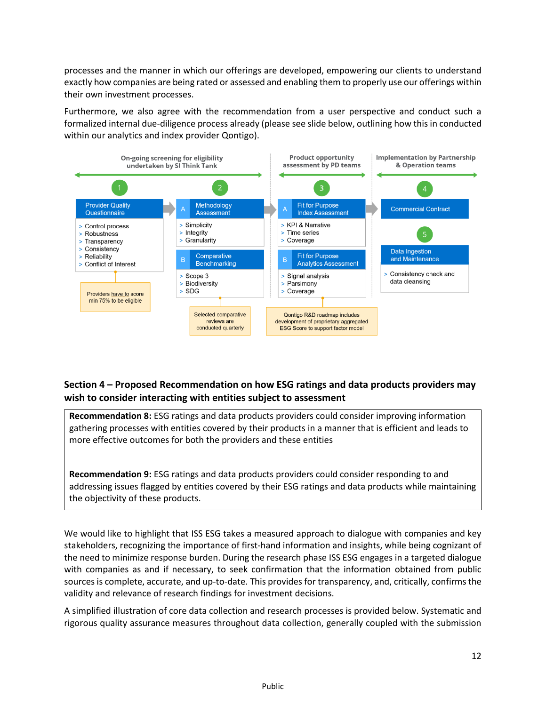processes and the manner in which our offerings are developed, empowering our clients to understand exactly how companies are being rated or assessed and enabling them to properly use our offerings within their own investment processes.

Furthermore, we also agree with the recommendation from a user perspective and conduct such a formalized internal due-diligence process already (please see slide below, outlining how this in conducted within our analytics and index provider Qontigo).



# **Section 4 – Proposed Recommendation on how ESG ratings and data products providers may wish to consider interacting with entities subject to assessment**

**Recommendation 8:** ESG ratings and data products providers could consider improving information gathering processes with entities covered by their products in a manner that is efficient and leads to more effective outcomes for both the providers and these entities

**Recommendation 9:** ESG ratings and data products providers could consider responding to and addressing issues flagged by entities covered by their ESG ratings and data products while maintaining the objectivity of these products.

We would like to highlight that ISS ESG takes a measured approach to dialogue with companies and key stakeholders, recognizing the importance of first-hand information and insights, while being cognizant of the need to minimize response burden. During the research phase ISS ESG engages in a targeted dialogue with companies as and if necessary, to seek confirmation that the information obtained from public sources is complete, accurate, and up-to-date. This provides for transparency, and, critically, confirms the validity and relevance of research findings for investment decisions.

A simplified illustration of core data collection and research processes is provided below. Systematic and rigorous quality assurance measures throughout data collection, generally coupled with the submission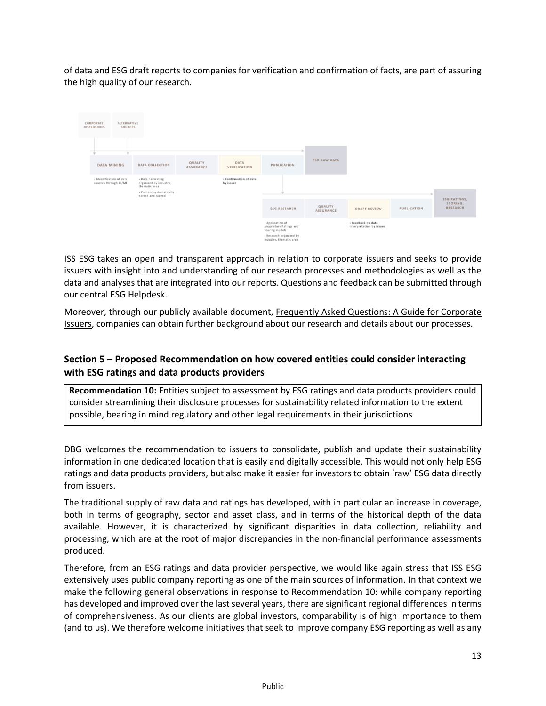of data and ESG draft reports to companies for verification and confirmation of facts, are part of assuring the high quality of our research.

|  | CORPORATE<br><b>DISCLOSURES</b>                   | <b>ALTERNATIVE</b><br><b>SOURCES</b> |                                                                                                               |                             |                                     |                                                               |                             |                                                |             |                                                    |
|--|---------------------------------------------------|--------------------------------------|---------------------------------------------------------------------------------------------------------------|-----------------------------|-------------------------------------|---------------------------------------------------------------|-----------------------------|------------------------------------------------|-------------|----------------------------------------------------|
|  |                                                   |                                      |                                                                                                               |                             |                                     |                                                               |                             |                                                |             |                                                    |
|  | <b>DATA MINING</b>                                |                                      | DATA COLLECTION                                                                                               | QUALITY<br><b>ASSURANCE</b> | <b>DATA</b><br>VERIFICATION         | PUBLICATION                                                   | <b>ESG RAW DATA</b>         |                                                |             |                                                    |
|  | > Identification of data<br>sources through AI/ML |                                      | > Data harvesting<br>organized by industry,<br>thematic area<br>> Content systematically<br>parsed and tagged |                             | > Confirmation of data<br>by issuer |                                                               |                             |                                                |             |                                                    |
|  |                                                   |                                      |                                                                                                               |                             |                                     |                                                               |                             |                                                |             |                                                    |
|  |                                                   |                                      |                                                                                                               |                             |                                     | <b>ESG RESEARCH</b>                                           | QUALITY<br><b>ASSURANCE</b> | <b>DRAFT REVIEW</b>                            | PUBLICATION | <b>ESG RATINGS,</b><br>SCORING,<br><b>RESEARCH</b> |
|  |                                                   |                                      |                                                                                                               |                             |                                     | > Application of<br>proprietary Ratings and<br>Scoring models |                             | > Feedback on data<br>interpretation by issuer |             |                                                    |
|  |                                                   |                                      |                                                                                                               |                             |                                     | > Research organized by<br>industry, thematic area            |                             |                                                |             |                                                    |

ISS ESG takes an open and transparent approach in relation to corporate issuers and seeks to provide issuers with insight into and understanding of our research processes and methodologies as well as the data and analyses that are integrated into our reports. Questions and feedback can be submitted through our central ESG Helpdesk.

Moreover, through our publicly available document, [Frequently Asked Questions: A Guide for Corporate](https://www.issgovernance.com/file/publications/iss-esg-faq-issuers.pdf)  [Issuers,](https://www.issgovernance.com/file/publications/iss-esg-faq-issuers.pdf) companies can obtain further background about our research and details about our processes.

# **Section 5 – Proposed Recommendation on how covered entities could consider interacting with ESG ratings and data products providers**

**Recommendation 10:** Entities subject to assessment by ESG ratings and data products providers could consider streamlining their disclosure processes for sustainability related information to the extent possible, bearing in mind regulatory and other legal requirements in their jurisdictions

DBG welcomes the recommendation to issuers to consolidate, publish and update their sustainability information in one dedicated location that is easily and digitally accessible. This would not only help ESG ratings and data products providers, but also make it easier for investors to obtain 'raw' ESG data directly from issuers.

The traditional supply of raw data and ratings has developed, with in particular an increase in coverage, both in terms of geography, sector and asset class, and in terms of the historical depth of the data available. However, it is characterized by significant disparities in data collection, reliability and processing, which are at the root of major discrepancies in the non-financial performance assessments produced.

Therefore, from an ESG ratings and data provider perspective, we would like again stress that ISS ESG extensively uses public company reporting as one of the main sources of information. In that context we make the following general observations in response to Recommendation 10: while company reporting has developed and improved over the last several years, there are significant regional differences in terms of comprehensiveness. As our clients are global investors, comparability is of high importance to them (and to us). We therefore welcome initiatives that seek to improve company ESG reporting as well as any